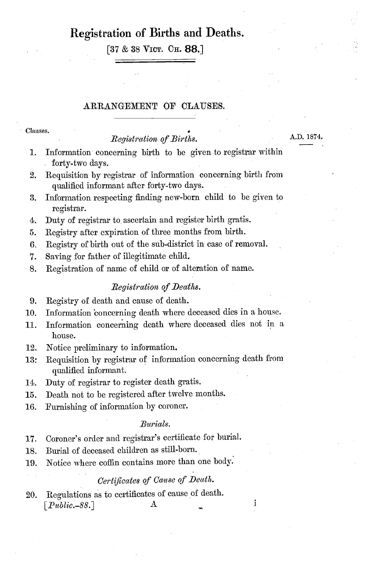# Registration of Births and Deaths.

[37  $&$  38 VICT. CH. 88.]

### ARRANGEMENT OF CLAUSES.

Clauses.

### Registration of Births.

A.D. 1874.

- 1. Information concerning birth to be given to registrar within forty-two days.
- 2. Requisition by registrar of information concerning birth from qualified informant after forty-two days.
- 3. Information respecting finding, new-born child to be given to registrar.
- 4. Duty of registrar to. ascertain and register birth gratis.
- 5. Registry after expiration of three months from birth.
- 6. Registry of birth out of the sub-district in case of removal.
- 7. Saving for father of illegitimate child.
- S. Registration of name of child or of alteration of name.

### Registration of Deaths.

- 9. Registry of death and cause of death.
- 10. Information 'concerning death where deceased dies in a house.
- 11. Information concerning death where deceased dies not in <sup>a</sup> house.
- 12. Notice preliminary to information.
- 13: Requisition by registrar of information concerning death from qualified informant.
- 14. Duty of registrar to register death gratis.
- 15. Death not to be registered after twelve months.
- 16. Furnishing of information by coroner.

### Burials.

- 17. Coroner's order and registrar's certificate for burial.
- 18. Burial of deceased children as still-born.
- 19. Notice where coffin contains more than one body.

# Certificates of Cause of Death.

20. Regulations as to certificates of cause of death.  $[Public-88.]$   $A$  i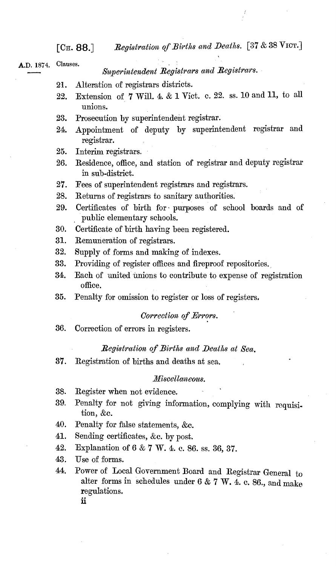[CH. 88.] Registration of Births and Deaths. [37  $\&$  38 VICT.]

A.D. 1874. Clauses.

Superintendent Registrars and Registrars.

- 21. Alteration of registrars districts.
- 22. Extension of 7 Will. 4. & 1 Vict. c. 22. ss. 10 and 11, to all unions.
- 23. Prosecution by superintendent registrar.
- 24. Appointment of deputy by superintendent registrar and registrar.
- 25. Interim registrars.
- 26. Residence, office, and station of registrar and deputy registrar in sub-district.
- 27. Fees of superintendent registrars and registrars.
- 28. Returns of registrars to sanitary authorities.
- 29. Certificates of birth for purposes of school boards and of public elementary schools.
- 30. Certificate of birth having been registered.
- 31. Remuneration of registrars.
- 32. Supply of forms and making of indexes.
- 33. Providing of register offices and fireproof repositories.,
- 34. Each of united unions to contribute to expense of registration office.
- 35. Penalty for omission to register or loss of registers.

### Correction of Errors.

36. Correction of errors in registers.

### Registration of Births and Deaths at Sea.

37. Registration of births and deaths at sea.

### Miscellaneous.

- 38. Register when not evidence.
- 39. Penalty for not giving information, complying with requisition, &c.
- 40. Penalty for false statements, &c.
- 41. Sending certificates, &c. by post.
- 42. Explanation of 6 & 7 W. 4. c. 86. ss. 36, 37.
- 43. Use of forms.
- 44. Power of Local Government Board and Registrar General to alter forms in schedules under 6 & 7 W. 4. c. 86., and make regulations. U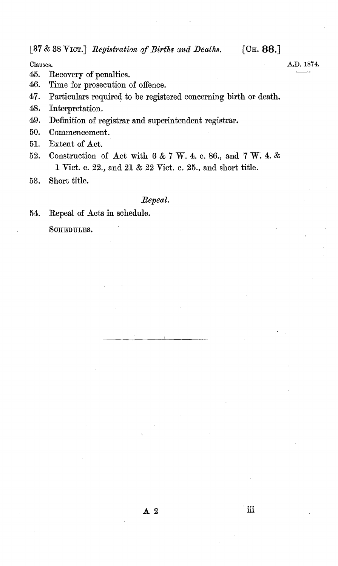$[37 & 38$  VICT.] Registration of Births and Deaths. [CH, 88.]

A.D. 1874.

Clauses.

45. Recovery of penalties.

- 46. Time for prosecution of offence.
- 47. Particulars required to be registered concerning birth or death.
- 48. Interpretation.
- 49. Definition of registrar and superintendent registrar.
- 50. Commencement.
- 51. Extent of Act.
- 52. Construction of Act with 6 & 7 W. 4. c. 86., and 7 W. 4. & 1 Vict. c. 22., and 21, & 22 Vict. c. 25., and short title.
- 53. Short title.

### Repeal.

54. Repeal of Acts in schedule.

SCHEDULES.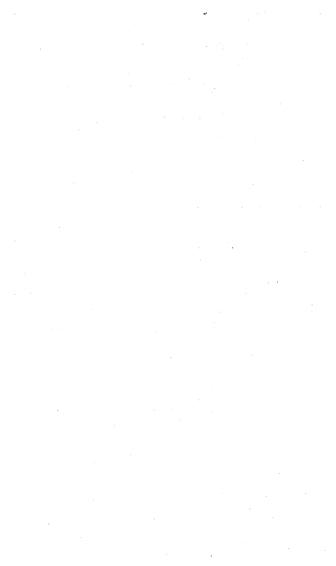$\label{eq:2.1} \frac{1}{\sqrt{2}}\int_{0}^{\infty}\frac{1}{\sqrt{2\pi}}\left(\frac{1}{\sqrt{2\pi}}\right)^{2}d\mu\left(\frac{1}{\sqrt{2\pi}}\right) \frac{d\mu}{\sqrt{2\pi}}\,.$  $\label{eq:2.1} \frac{1}{2} \sum_{i=1}^n \frac{1}{2} \sum_{j=1}^n \frac{1}{2} \sum_{j=1}^n \frac{1}{2} \sum_{j=1}^n \frac{1}{2} \sum_{j=1}^n \frac{1}{2} \sum_{j=1}^n \frac{1}{2} \sum_{j=1}^n \frac{1}{2} \sum_{j=1}^n \frac{1}{2} \sum_{j=1}^n \frac{1}{2} \sum_{j=1}^n \frac{1}{2} \sum_{j=1}^n \frac{1}{2} \sum_{j=1}^n \frac{1}{2} \sum_{j=1}^n \frac{$  $\label{eq:2.1} \frac{1}{\sqrt{2\pi}}\int_{\mathbb{R}^3}\frac{d\mu}{\sqrt{2\pi}}\left(\frac{d\mu}{\mu}\right)^2\frac{d\mu}{\mu}\left(\frac{d\mu}{\mu}\right)^2\frac{d\mu}{\mu}\left(\frac{d\mu}{\mu}\right)^2\frac{d\mu}{\mu}\left(\frac{d\mu}{\mu}\right)^2\frac{d\mu}{\mu}\left(\frac{d\mu}{\mu}\right)^2\frac{d\mu}{\mu}\left(\frac{d\mu}{\mu}\right)^2\frac{d\mu}{\mu}\left(\frac{d\mu}{\mu}\right)^2\frac{d\mu}{\mu}\left(\frac{d$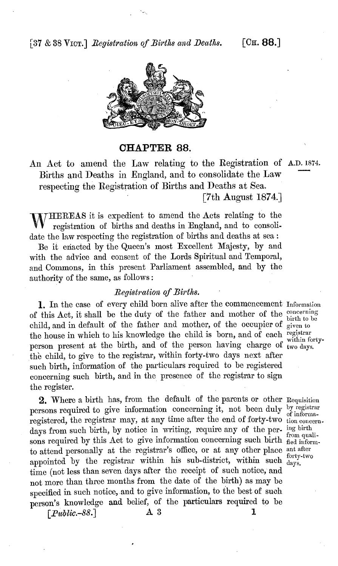

CHAPTER 88.

An Act to amend the Law relating to the Registration of A.D. 1874. Births and Deaths in England, and to consolidate the Law respecting the Registration of Births and Deaths at Sea.

[7th August 1874.]

WHEREAS it is expedient to amend the Acts relating to the registration of births and deaths in England, and to consolidate the law respecting the registration of births and deaths at sea :

Be it enacted by the Queen's most Excellent Majesty, by and with the advice and consent of the Lords Spiritual and Temporal, and Commons, in this present Parliament assembled, and by the authority of the same, as follows :

### Registration of Births.

1. In the case of every child born alive after the commencement information of this Act, it shall be the duty of the father and mother of the concerning child, and in default of the father and mother, of the occupier of given to the house in which to his knowledge the child is born, and of each registrar within fortyene nouse in which to his anowhedge and efficient as sorry and or each within forty-<br>person present at the birth, and of the person having charge of two days. the child, to give to the registrar, within forty-two days next after such birth, information of the particulars required to be registered concerning such birth, and in the presence of the registrar to sign the register.

2. Where a birth has, from the default of the parents or other Requisition persons required to give information concerning it, not been duly by registrar registered, the registrar may, at any time after the end of forty-two tion concern-<br>days from such high by notice in writing require any of the per-ing birth days from such birth, by notice in writing, require any of the per- ing birth from qualisons required by this Act to give information concerning such birth fied informto attend personally at the registrar's office, or at any other place ant after appointed by the registrar within his sub-district, within such  $\frac{1}{\text{days}}$ time (not less than seven days after the receipt of such notice, and not more than three months from the date of the birth) as may be specified in such notice, and to give information, to the best of such person's knowledge and belief, of the particulars required to be  $[Public-88.]$   $\Delta$  3

 $[Public-88.]$ 

of informaforty-two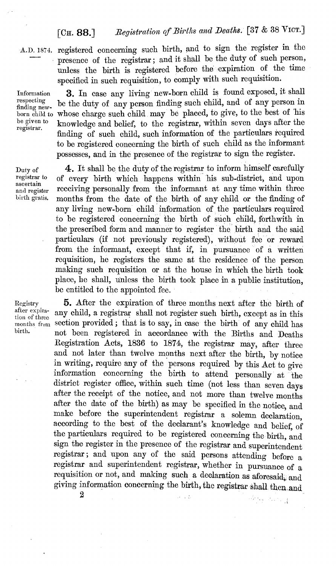Duty of registrar to ascertain and register birth gratis.

A.D. 1874. registered concerning such birth, and to sign the register in the presence of the registrar ; and it shall be the duty of such person, unless the birth is registered before the' expiration of the time specified in such requisition, to comply with such requisition.

Information 3. In case any living new-born child is found exposed, it shall<br>respecting be the dutre of our newsen finding such obild and of any person in respecting be the duty of any person finding such child, and of any person in born child to whose charge such child may be placed, to give, to the best of 'his<br>be given to knowledge and belief to the registrar within seven days after the be given to knowledge and belief, to the registrar, within seven days after the finding of such child, such information of the particulars required to be registered concerning the birth of such child as the informant possesses, and in the presence of the registrar to sign the register.

> 4. It shall be the duty of the registrar to inform himself carefully of every birth which happens within his sub-district, and upon receiving personally from the informant at any time within three months from the date of the birth of any child or the finding of any living new-born child information of the particulars required to be registered concerning the birth of such child, forthwith in the prescribed form and manner to register the birth and the said particulars (if not previously registered), without fee or reward from the informant, except that if, in pursuance of a written requisition, he registers the same at the residence of the person making such requisition or at the house in which the birth took place, be shall, unless the birth took place in a public institution, be entitled to the appointed fee.

> 5. After the expiration of three months next after the birth of any child, a registrar shall not register such birth, except as in this section provided; that is to say, in case the birth of any child has not been registered in accordance with the Births and Deaths Registration Acts, 1836 to 1874, the registrar may, after three and not later than twelve months next after the birth, by notice in writing, require any of the persons required by this Act to give information concerning the birth to attend personally at the district register office, within such time (not less than seven days after the receipt of the notice, and not more than twelve months after the date of the birth) as may be specified in the notice, and make before the superintendent registrar a solemn declaration, according to the best of the declarant's knowledge and belief, of the particulars required to be registered concerning the birth, and sign the register in the presence of the registrar and superintendent registrar; and upon any of the said persons attending before a registrar and superintendent registrar, whether in pursuance of a requisition or not, and making such a declaration as aforesaid, and giving information concerning the birth, the registrar shall then, and

> > $\lambda \rightarrow 0$

 $\label{eq:2} \frac{1}{2}\left\langle \left( \frac{1}{2} \sum_{i=1}^n \left( \frac{1}{2} \sum_{i=1}^n \left( \frac{1}{2} \sum_{i=1}^n \frac{1}{2} \right) \right) \right) \right\rangle$ 

Registry after expiration of three months from birth.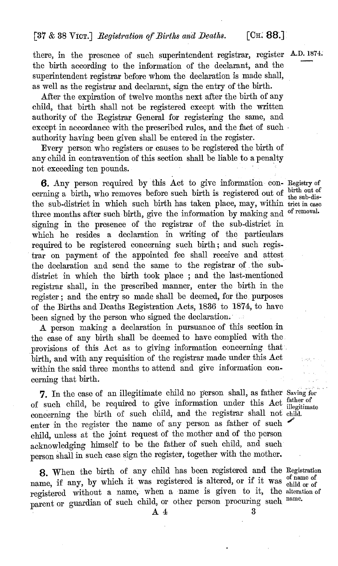there, in the presence of such superintendent registrar, register A.D. 1874.

the birth according to the information of the declarant, and the superintendent registrar before whom the declaration is made shall, as well as the registrar and declarant, sign the entry of the birth.

After the expiration of twelve months next after the birth of any child, that birth shall not be registered except with the written authority of the Registrar General for registering the same, and except in accordance with the prescribed rules, and the fact of such  $\cdot$ authority having been given shall be entered in the register.

Every person who registers or causes to be registered the birth of any child in contravention of this section shall be liable to a penalty not exceeding ten pounds.

6. Any person required by this Act to give information con-Registry of cerning a birth, who removes before such birth is registered out of  $\frac{\text{birth out of}}{\text{the sub-dis-}}$ the sub-district in which such birth has taken place, may, within trict in case three months after such birth, give the information by making and signing in the presence of the registrar of the sub-district in which he resides a declaration in writing of the particulars required to be registered concerning such birth ; and such registrar on payment of the appointed fee shall receive and attest the declaration and send the same to the registrar of the subdistrict in which the birth took place ; and the last-mentioned registrar shall, in the prescribed manner, enter the birth in the register ; and the entry so made shall be deemed, for the, purposes of the Births and Deaths Registration Acts, 1836 to 1874, to have been signed by the person who signed the declaration.

A person making a declaration in pursuance of this section in the case of any birth shall be deemed to have complied with the provisions of this Act as to giving information concerning that birth, and with any requisition of the registrar made under this Act within the said three months to attend and give information concerning that birth.

7. In the case of an illegitimate child no person shall, as father Saving for of such child, be required to give information under this Act father of concerning the birth of such child, and the registrar shall not child. enter in the register the name of any person as father of such child, unless at the joint request of the mother and of the person acknowledging himself to be the father of such child, and such person shall in such case sign the register, together with the mother.

8. When the birth of any child has been registered and the Registration name, if any, by which it was registered is altered, or if it was registered without a name, when a name is given to it, the alteration of parent or guardian of such child, or other person procuring such name.<br> $A_4$   $B$ 

the sub-disof removal.

illegitimate  $\begin{array}{l} \text{father of} \ \text{aligned} \ \text{children} \ \text{child.} \end{array}$ 

of name of child or of

 $\mathbf{A}$  4 3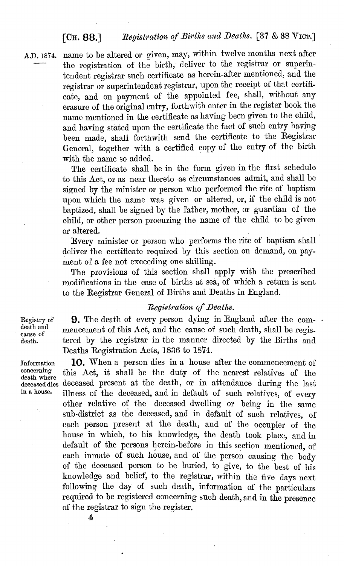# [CH. 88.] Registration of Births and Deaths. [37 & 38 VICT.]

A.D. 1874. name to be altered or given, may, within twelve months next after the registration of the birth, deliver to the registrar or superintendent registrar such certificate as herein-after mentioned, and the registrar or superintendent registrar, upon the receipt of that certificate, and on payment of the appointed fee, shall, without any erasure of the original entry, forthwith enter in the register book the name mentioned in the certificate as having been given to the child, and having stated upon the certificate the fact of such entry having been made, shall forthwith send the certificate to the Registrar General, together with a certified copy of the entry of the birth with the name so added.

The certificate shall be in the form given in the first schedule to this Act, or as near thereto as circumstances admit, and shall be signed by the minister or person who performed the rite of baptism upon which the name was given or altered, or, if the child is not baptized, shall be signed by the father, mother, or guardian of the child, or other person procuring the name of the child to be given or altered.

Every minister or person who performs the rite of baptism shall deliver the certificate required by this section on demand, on payment of a fee not exceeding one shilling.

The provisions of this section shall apply with the prescribed modifications in the case of births at sea, of which a return is sent to the Registrar General of Births and Deaths in England.

### Registration of Deaths.

Registry of  $\bullet$  9. The death of every person dying in England after the comdeath and mencement of this Act, and the cause of such death, shall be regisdeath. tered by the registrar in the manner directed by the Births and Deaths Registration Acts, 1836 to 1874.

Information  $\mathbf{I}$ **O**. When a person dies in a house after the commencement of concerning this Act it shall be the duty of the negrest relatives of the concerning this Act, it shall be the duty of the nearest relatives of the death where deceased dies deceased present at the death, or in attendance during the last deceased dies deceased present at the death, or in attendance during the last<br>in a house. illness of the deceased and in default of such relatives of events illness of the deceased, and in default of such relatives, of every other relative of the deceased dwelling or being in the same sub-district as the deceased, and in default of such relatives, of each person present at the death, and of the occupier of the house in which, to his knowledge, the death took place, and in default of the persons herein-before in this section mentioned, of each inmate of such house, and of the person causing the body of the deceased person to be buried, to give, to the best of his knowledge and belief, to the registrar, within the five days next following the day of such death, information of the particulars required to be registered concerning such death, and in the presence of the registrar to sign the register.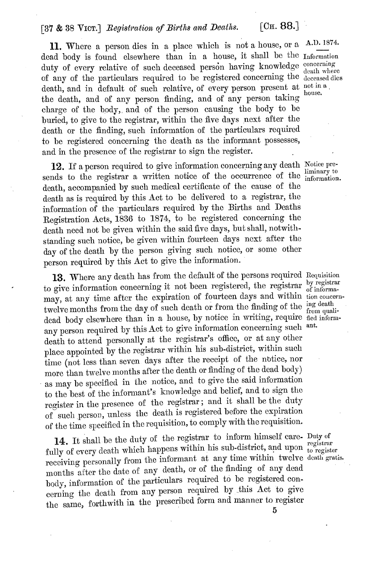11. Where a person dies in a place which is not a house, or a A.D. 1874. dead body is found elsewhere than in a house, it shall be the Information duty of every relative of such deceased person having knowledge concerning of any of the particulars required to be registered concerning the deceased dies death, and in default of such relative, of every person present at not in a. the death, and of any person finding, and of any person taking charge of the body,, and of the person causing the body to be buried, to give to the registrar, within the five days next after the death or the finding, such information of the particulars required to be registered concerning the death as the informant possesses, and in the presence of the registrar to sign the register.

12. If a person required to give information concerning any death Notice presends to the registrar a written notice of the occurrence of the  $\frac{\text{immary to}}{\text{information}}$ death, accompanied by such medical certificate of the cause of the death as is required by this Act to be delivered to a registrar, the information of the 'particulars required by the Births and Deaths Registration Acts, 1836 to 1874, to be registered concerning the death need not be given within the said five days, but shall, notwithstanding such notice, be given within fourteen days next after the day of the death by the person giving such notice, or some other person required by this Act to give the information.

13. Where any death has from the default of the persons required Requisition to give information concerning it not been registered, the registrar by registrar may, at any time after the expiration of fourteen days and within tion concerntwelve months from the day of such death or from the finding of the  $\frac{ing\ death}{from\ quality}$ twelve months from the day of such death or from the finally of the from quali-<br>dead body elsewhere than in a house, by notice in writing, require fied informany person required by this Act to give information concerning such death to attend personally at the registrar's office, or at any other place appointed by the registrar within his sub-district, within such time (not less than seven days after the receipt of the notice, nor more than twelve months after the death or finding of the dead body) as may be specified in the notice, and to give the said information to the best of the informant's knowledge and belief, and to sign the register in the presence of the registrar ; and it shall be the duty of such person, unless the death is registered before the expiration of the time specified in the requisition, to comply with the requisition.

14. It shall be the duty of the registrar to inform himself care- Duty of fully of every death which happens within his sub-district, and upon register receiving personally from the informant at any time within twelve death gratis. months after the date of any death, or of the finding of any dead body, information of the particulars required to be registered concerning the death from any person required by this Act to give the same, forthwith in the prescribed form and manner to register 5

death where

from quali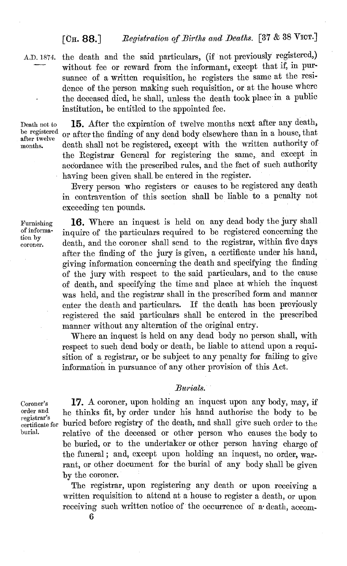[CH. 88.] Registration of Births and Deaths. [37 & 38 VICT.]

A.D. 1874. the death and the said particulars, (if not previously registered,) without fee or reward from the informant, except that if, in pursuance of a written requisition, he registers the same at the residence of the person making such requisition, or at the house where the deceased died, he shall, unless the death took place in a public institution, be entitled to the appointed fee.

after twelve<br>months.

Death not to  $15$ . After the expiration of twelve months next after any death, be registered on after the finding of any dead holy elsewhere than in a house, that or after the finding of any dead body elsewhere than in a house, that death shall not be registered, except with the written authority of the Registrar General for registering the same, and except in accordance with the prescribed rules, and the fact of such authority having been given shall be entered in the register.

> Every person who registers or causes to be registered any death in contravention of this section shall be liable to a penalty not exceeding ten pounds.

tion by

Furnishing  $16.$  Where an inquest is held on any dead body the jury shall of information inquire of the particulars required to be registered concerning the inquire of the particulars required to be registered concerning the coroner. death, and the coroner shall send to the registrar, within five days after the finding of the jury is given, a certificate under his hand, giving information concerning the death and specifying the finding of the jury with respect to the said particulars, and to the cause of death, and specifying the time and place at which the inquest was held, and the registrar shall in the prescribed form and manner enter the death and particulars. If the death has been previously registered the said particulars shall be entered in the prescribed manner without any alteration of the original entry.

Where an inquest is held on any dead body no person shall, with respect to such dead body or death, be liable to attend upon a requisition of a registrar, or be subject to any penalty for failing to give information in pursuance of any other provision of this Act.

### Burials.

Coroner's order and registrar's certificate for burial.

17. A coroner, upon holding an inquest upon any body, may, if he thinks fit, by order under his hand authorise the body to be buried before registry of the death, and shall give such order to the relative of the deceased or other person who causes the body to be buried, or to the undertaker or other person having charge of the funeral ; and, except upon holding an inquest, no order, warrant, or other document for the burial of any body shall be given by the coroner.

The registrar, upon registering any death or upon receiving a written requisition to attend at a house to register a death, or upon receiving such written notice of the occurrence of a-death, accom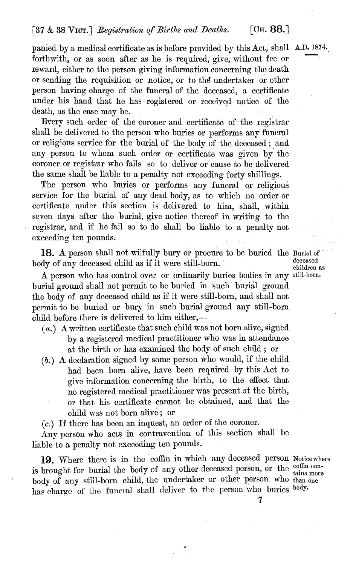paned by a medical certificate as is before provided by this Act, shall A.D. 1874. forthwith, or as soon after as he is required, give, without fee or reward, either to the person giving information concerning the death or sending the requisition or notice, or to the undertaker or other person having charge of the funeral of the deceased, a certificate under his hand that he has registered or received notice of the death, as the case may be.

Every such order of the coroner and certificate of the registrar shall be delivered to the person who buries or performs any funeral or religious service for the burial of the body of the deceased ; and any person to whom such order or. certificate was given by the coroner or registrar who fails so to, deliver or cause to be delivered the same shall be liable to a penalty not exceeding forty shillings.

The person who buries or performs any funeral or religious service for the burial of any dead body, as to which no order or certificate under this section is delivered to him, shall, within seven days after the burial, give notice thereof in writing to the registrar, and if he fail so to do shall be liable to a penalty not exceeding ten pounds.

**18.** A person shall not wilfully bury or procure to be buried the Burial of  $\frac{1}{2}$  of example are decessed body of any deceased child as if it were still-born.

A person who has control over or ordinarily buries bodies in any still-born. burial ground shall not permit to be buried in such burial ground the body of any deceased child as if it were still-born, and shall not permit to be buried or bury in such burial ground any still-born child before there is delivered to him either.-

- $(a_1)$  A written certificate that such child was not born alive, signed by a registered medical practitioner who was in attendance at the birth or has examined the body of such child ; or
- (b.) A declaration signed by some person who would, if the child had been born alive, have been required by this Act to give information concerning the birth, to the effect that no registered medical practitioner was present at the birth, or that his certificate cannot be obtained, and that the child was not born alive ; or

(c.) If there has been an inquest, an order of the coroner.

Any person who acts in contravention of this section shall be liable to a penalty not exceeding ten pounds.

19. Where there is in the coffin in which any deceased person Notice where is brought for burial the body of any other deceased person, or the coffin contains more body of any still-born child, the undertaker or other person, who than one has charge of the funeral shall deliver to the person who buries body.

7

children as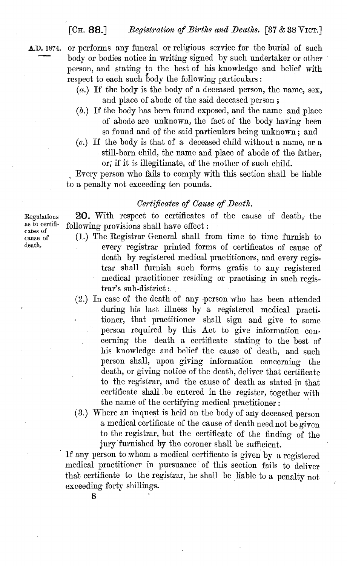A.D. 1874. or performs any funeral or religious service for the burial of such body or bodies notice in writing signed by such undertaker or other person, and stating to the best of his knowledge and belief with respect to each such body the following particulars :

- $(a.)$  If the body is the body of a deceased person, the name, sex, and place of abode of the said deceased person ;
- (b.) If the body has been found exposed, and the name and place of abode are unknown, the fact of the body having been so found and of the said particulars being unknown ; and
- (c.) If the body is that of a deceased child without a name, or a still-born child, the name and place of abode of the father, or; if it is illegitimate, of the mother of such child.

Every person who fails to comply with this section shall be liable to a penalty not exceeding ten pounds.

### Certificates of Cause of Death.

20. With respect to certificates of the cause of death, the following provisions shall have effect :

- (1.) The Registrar General shall from time to time furnish to every registrar printed forms of certificates of cause of death by registered medical practitioners, and every registrar shall furnish such forms gratis to any registered medical practitioner residing or practising in such registrar's sub-district :. .
- (2.) In case of the death of any :person who has been attended during his last illness by a registered medical practitioner, that practitioner shall sign and give to some person required by this Act to give information concerning the death a certificate stating to the best of his knowledge and belief the cause of death, and such person shall, upon giving information concerning the death, or giving notice of the death, deliver that certificate to the registrar, and the cause of death as stated in that certificate shall be entered in the register, together with the name of the certifying medical practitioner :
- (3.) Where an inquest is held on the body of any deceased person a medical certificate of the cause of death need not be given to the registrar, but the certificate of the finding of the jury furnished by the coroner shall be sufficient.

If any person to whom a medical certificate is given by a registered medical practitioner in pursuance of this section fails to deliver that certificate to the registrar, he shall be liable to a penalty not exceeding forty shillings.

8

Regulations as to certificates of cause of death.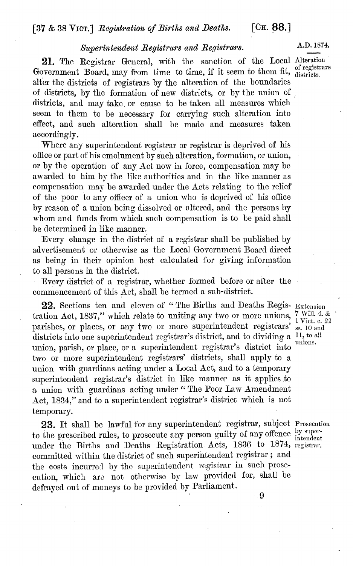### Superintendent Registrars and Registrars.

21. The Registrar General, with the sanction of the Local Alteration Government Board, may from time to time, if it seem to them fit, districts. alter the districts of registrars by the alteration of the boundaries of districts, by the formation of new districts, or by the union of districts, and may take or cause to be taken all measures which seem to them to be necessary for carrying such alteration into effect, and such alteration shall be made and measures taken accordingly.

Where any superintendent registrar or registrar is deprived of his office or part of his emolument by such alteration, formation, or union, or by the operation of any Act now in force, compensation may be awarded to him by the like authorities and in the like manner as compensation may be awarded under the Acts relating to the relief of the poor to any officer of a union who is deprived of his office by reason of a union being dissolved or altered, and the persons by whom and funds from which such compensation is to be paid shall be determined in like manner.

Every change in the district of a registrar shall be published by advertisement or otherwise as the Local Government Board direct as being in their opinion best calculated for giving information to all persons in the district.

Every district of a registrar, whether formed before or after the commencement of this Act, shall be termed a sub-district.

22. Sections ten and eleven of " The Births and Deaths Regis-Extension tration Act, 1837," which relate to uniting any two or more unions, parishes, or places, or any two or more superintendent registrars'  $\frac{1}{ss}$ , 10 and districts into one superintendent registrar's district, and to dividing a 11, to all union, parish, or place, or a superintendent registrar's district into two or more superintendent registrars' districts, shall apply to a union with guardians acting under a Local Act, and to a temporary superintendent registrar's district in like manner as it applies.to a union with guardians acting under "The Poor Law Amendment Act, 1834," and to a superintendent registrar's district which is not temporary.

23. It shall be lawful for any superintendent registrar, subject prosecution to the prescribed rules, to prosecute any person guilty of any offence  $\frac{\text{by super}}{\text{intendent}}$ under the Births and Deaths Registration Acts, 1836 to 1874, registrar. committed within the district of such superintendent registrar ; and the costs incurred by the superintendent registrar in such prosecution, which are not otherwise by law provided for, shall be defrayed out of moneys to be provided by Parliament.

7 Will. 4. & 1 Viet. c. 23<br>ss. 10 and unions.

intendent

districts.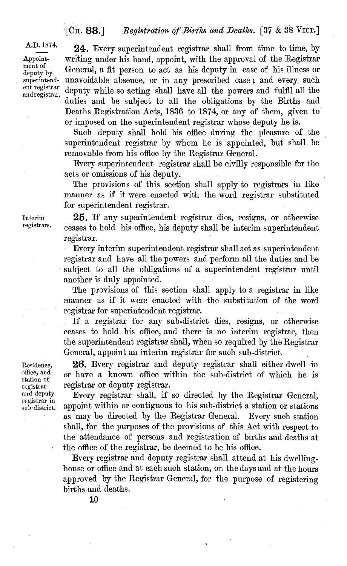# [CH. 88.] Registration of Births and Deaths. [37  $\&$  38 VICT.]

### A.D. 1874.

Appointment of deputy by superintendent registrar and registrar.

24. Every superintendent registrar shall from time to time, by writing under his hand, appoint, with the approval of the Registrar General, a fit person to act as his deputy in case of his illness or unavoidable absence, or in any prescribed case; and every such deputy while so acting shall have all the powers and fulfil all the duties and be subject to all the obligations by the Births and Deaths Registration Acts, 1836 to 1874, or any of them, given to or imposed on the superintendent registrar whose deputy he is.

Such deputy shall hold his office during the pleasure of the superintendent registrar by whom he is appointed, but shall be removable from his office by the Registrar General.

Every superintendent registrar shall be civilly responsible for the acts or omissions of his deputy.

The provisions of this section shall apply to registrars in like manner as if it were enacted with the word registrar substituted for superintendent registrar.

Interim 25. If any superintendent registrar dies, resigns, or otherwise ceases to hold his office, his deputy shall be interim superintendent registrar.

> Every interim superintendent registrar shall act as superintendent registrar and have all the powers and perform all the duties and be subject to all the obligations of a superintendent registrar until another is duly appointed.

> The provisions of this section shall apply to a registrar in like manner as if it were enacted with the substitution of the word registrar for superintendent registrar.

> If a registrar for any sub-district dies, resigns, or otherwise ceases to hold his office, and there, is no interim registrar, then the superintendent registrar shall, when so required by the Registrar General, appoint an interim registrar for such sub-district.

Residence, 26. Every registrar and deputy registrar shall either dwell in<br>office, and or have a known office within the sub-district of which he is office, and or have a known office within the sub-district of which he is station of registrar registrar or deputy registrar.

and deputy Every registrar shall, if so directed by the Registrar General, registrar in sub-district. appoint within or contiguous to his sub-district a station or stations appoint within or contiguous to his sub-district a station or stations as may be directed by the Registrar General. Every such station as may be directed by the Registrar General. shall, for the purposes of the provisions of this Act with respect to the attendance of persons and registration of births and deaths at the office of the registrar, be deemed to be his office.

Every registrar and deputy registrar shall attend at his dwellinghouse or office and at each such station, on the days and at the hours approved by the Registrar General, for the purpose of registering births and deaths.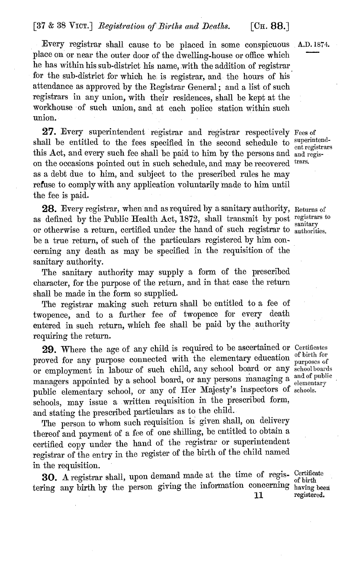Every registrar shall cause to be placed in some conspicuous A.D. 1874. place on or near the outer door of the dwelling-house or office which he has within his sub-district his name, with the addition of registrar for the sub-district for which he. is registrar, and the hours of his attendance as approved by the Registrar General ; and a list of such registrars in any union, with their residences, shall be kept at the workhouse -of such union, and at each police station within such union.

27. Every superintendent registrar and registrar respectively Fees of shall be entitled to the fees specified in the second schedule to superintendthis Act, and every such fee shall be paid to him by the persons and  $\frac{1}{\text{and } \text{regris-}}$ on the occasions pointed out in such schedule, and may be recovered trans. as a debt due to him, and subject to the prescribed rules he may refuse to comply with any application voluntarilymade to him until the fee is paid.

28. Every registrar, when and as required by a sanitary authority, Returns of as defined by the Public Health Act, 1872, shall transmit by post registrars to or otherwise a return, certified under the hand of such registrar to authorities. be a true return, of such of the particulars registered by him concerning any death as may be specified in the requisition of the sanitary authority.

The sanitary authority may supply a form of the prescribed character, for the purpose of the return, and in that case the return shall be made in the form so supplied.

The registrar making such return shall be entitled to a fee of twopence, and to a further fee of twopence for every death entered in such return, which fee shall be paid by the authority requiring the return.

**29.** Where the age of any child is required to be ascertained or Certificates proved for any purpose connected with the elementary education or employment in labour of such child, any school board or any schoolboards managers appointed by a school board, or any persons managing a and of public public elementary school, or any of Her Majesty's inspectors of schools. schools, may issue a written requisition in the prescribed form, and stating the prescribed particulars as to the child.

The person to whom such requisition is given shall, on delivery thereof and payment of a fee of one shilling, be entitled to obtain <sup>a</sup> certified copy under the hand of the registrar or superintendent registrar of the entry in the register of the birth of the child named in the requisition.

30. A registrar shall, upon demand made at the time of regis- Certificate tering any birth by the person giving the information concerning  $\frac{d}{dx}$  having been<br>registered. registered.

purposes of

sanitary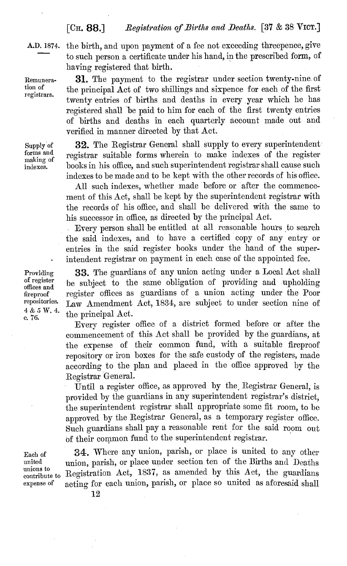to such person a certificate under his hand, in the prescribed form, of

having registered that birth.

A.D. 1874. the birth, and upon payment of a fee not exceeding threepence, give

Remunera- **31.** The payment to the registrar under section twenty-nine-of<br>tion of<br>the payment of the first tion of the principal Act of two shillings and sixpence for each of the first twenty entries of births and deaths in every year which he has registered shall be paid to him for each of the first twenty entries of births and deaths in each quarterly account made out and verified in manner directed by that Act.

Supply of 32. The Registrar General shall supply to every superintendent forms and registrar suitable forms wherein to make indexes of the register forms and registrar suitable forms wherein to make indexes of the register making of books in his office, and such superintendent registrar shall cause such books in his office, and such superintendent registrar shall cause such indexes to be made and to be kept with the other records of his office.

> All such indexes, whether made 'before or 'after the commencement of this Act, shall be kept by the superintendent registrar with the records of his office, and shall be delivered with the same to his successor in office, as directed by the principal Act.

> Every person shall be entitled at all reasonable hours to search the said indexes, and to have a certified copy of any entry or entries in the said register books under the hand of the superintendent registrar on payment in each case of the appointed fee.

Providing 33. The guardians of any union acting under a Local Act shall<br>of register the same optication of providing and upholding of register be subject to the same obligation of providing and upholding fireproof register offices as guardians of a union acting under the Poor repositories. Law Amendment Act, 1834, are subject to under section nine of  $4 \& 5 \text{ W}$ .  $\frac{4}{x}$  &  $\frac{5}{y}$  W. 4. the principal Act.

Every register office of a district formed before or after the commencement of this Act shall be provided by the guardians, at the expense of their common fund, with a suitable fireproof repository or iron boxes for the safe custody of the registers, made according to the plan and placed in the office approved by the Registrar General.

Until a register office, as approved by the. Registrar General, is provided by the guardians in any superintendent registrar's district, the superintendent registrar shall appropriate some fit room, to be approved by the Registrar General, as a temporary register office. Such guardians shall pay a reasonable rent for the said room out of their common fund to the superintendent registrar.

unions to

Each of 34. Where any union, parish, or place is united to any other<br>united union parish, or place under section ten of the Births and Deaths union, parish, or place under section ten of the Births and Deaths unions to Registration Act, 1837, as amended by this Act, the guardians expense of acting for each union, parish, or place so united as aforesaid shall acting for each union, parish, or place so united as aforesaid shall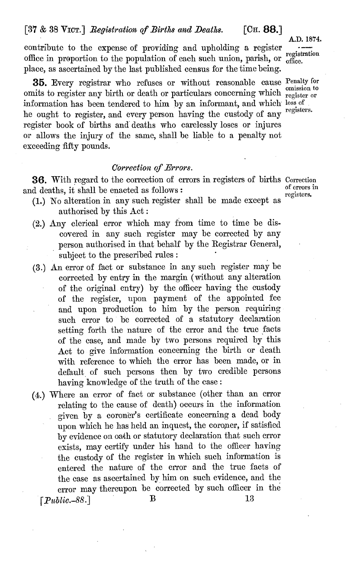contribute to the expense of providing and upholding a register office in proportion to the population of each such union, parish, or place, as ascertained by the last published census for the time being.

35. Every registrar who refuses or without reasonable cause Penalty for omits to register any birth or death or particulars concerning which register or information has been tendered to him by an informant, and which loss of he ought to register, and every person having the custody of any register book of births and' deaths who carelessly loses or injures or allows the injury of the same, shall be liable to a penalty not exceeding fifty pounds.

### Correction of Errors.

**36.** With regard to the correction of errors in registers of births Correction of errors in and deaths, it shall be enacted as follows : of errors in the of errors in the state of errors in the state of errors in the state of errors in the state of errors in the state of errors in the state of errors in the state

- $r(1)$ . No alteration in any such register shall be made except as authorised by this Act :
- (2.) Any clerical error which may from time to time be discovered in any such register may be corrected by any person authorised in that behalf by the Registrar General, subject to the prescribed rules:
- (3.) An error of fact or substance in any such register may be corrected by entry in the margin (without any alteration of the original entry) by the officer having the custody of the register, upon payment of the appointed fee and upon production to him by the person requiring such error to be corrected of a statutory declaration setting forth the nature of the error and the true facts of the case, and made by two persons required by this Act to give information concerning the birth or death with reference to which the error has been made, or in default, of such persons then by two credible persons having knowledge of the truth of the case :
- (4.) Where an error of fact or substance (other than an error relating to the cause of death) occurs in the information given by a coroner's certificate concerning a dead body upon which he has held an inquest, the coroner, if satisfied by evidence on oath or statutory declaration that such error exists, may certify under his hand to the officer having the custody of the register in which such information is entered the nature of the error and the true facts of the case as ascertained by him on such evidence, and the error may thereupon be corrected by such officer in the  $hli\epsilon$   $\approx$  13  $[Public.-88.]$  B

registration office.

register or loss of registers.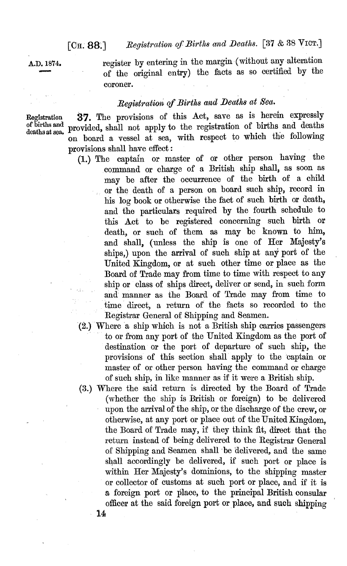A.D. 1874. register by entering in the margin (without any alteration of the original entry) the facts as so certified by the coroner.

Registration of births and Registration **37.** The provisions of this Act, save as is herein expressly<br>of births and provided, shall not apply to the registration of births and deaths<br>deaths at sea. provided, shall not apply to the registration of bi 37. The provisions of this Act, save as is herein expressly on board a vessel at sea, with respect to which the following provisions shall have effect :

- (1.) The captain or master of or other person having the .command or charge of a British ship shall, as soon as may be after the occurrence of the birth of a child or the death of a person on board such ship, record in his log book or otherwise the fact of such birth or death, and the particulars required by the fourth schedule to this Act to be registered concerning such birth or death, or such of them as may be known to him, and shall, (unless the ship is one of Her Majesty's ships,) upon the arrival of such ship at any port of the United Kingdom, or at such other time or place as the Board of Trade may from time to time with respect to any ship or class of ships direct, deliver or send, in such form and manner as the Board of Trade may from time to time direct, a return of the facts so recorded to the Registrar General of Shipping and Seamen.
- $(2.)$  Where a ship which is not a British ship carries passengers to or from any port of the United Kingdom as the port of destination or the port of departure of such ship, the provisions of this section shall apply to the 'captain or master of or other person having the command or charge of such ship, in like manner as if it were a British ship.

(3.) Where the said return is directed by the Board of Trade (whether the ship is British or foreign) to be delivered upon the arrival of the ship, or the discharge of the crew, or otherwise, at any port or place out of the United Kingdom, the Board of Trade may, if they think fit, direct that the return instead of being delivered to the Registrar General of Shipping and Seamen shall be delivered, and the same shall accordingly be delivered, if such port or place is within Her Majesty's dominions, to the shipping master or collector of customs at such port or place, and if it is a foreign port or place, to the principal British consular officer at the said foreign port or place, and such shipping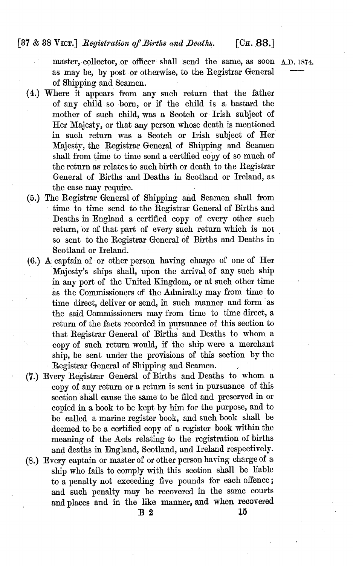master, collector, or officer shall send the same, as soon A.D. 1874. as may be, by post or otherwise, to the Registrar General of Shipping and Seamen.

- (4.) Where it appears from any such return that the father of any child, so born, or if the child is a bastard the mother of such. child, was a Scotch or Irish subject of Her Majesty, or that any person whose death is mentioned in such return was a Scotch or Irish subject of Her Majesty, the Registrar General of Shipping and Seamen shall from time to time send a certified copy of so much of the return as relates to such birth or death to the Registrar General of Births and Deaths in Scotland or Ireland, as the case may require.
- (5.) The Registrar General of Shipping and Seamen shall from time to time send to the Registrar General of Births and Deaths in England a certified copy of every other such return, or of that part of every such return which is not so sent to the Registrar General of Births and Deaths in Scotland or Ireland.
- (6.) A captain of or other person having charge of one of Her Majesty's ships shall, upon the arrival of any such ship in any port of the United Kingdom, or at such other time as the Commissioners of the Admiralty may from, time to time direct, deliver or send, in such manner and form as the said Commissioners may from time to time direct, a return of the facts recorded in pursuance of this section to that Registrar General of Births and Deaths to whom a copy of such return would, if the ship were a merchant ship, be sent under the provisions of this section by the Registrar General of Shipping and Seamen.
- (7.) Every Registrar General of Births and Deaths to whom a copy of any return or a return is sent in pursuance of this section shall cause the same to be filed and preserved in or copied in a book to be kept by him for the purpose, and to be called a marine register book, and such book shall be deemed to be a certified copy of a register book within the meaning of the Acts relating to the registration of births and deaths in England, Scotland, and Ireland respectively.
- (8.) Every captain or master of or other person having charge of a ship who fails to comply with this section shall be liable to a penalty not exceeding five pounds for each offence ; and such penalty may be recovered in the same courts and places and in the like manner, and when recovered  $R<sub>2</sub>$  15

 $B<sub>2</sub>$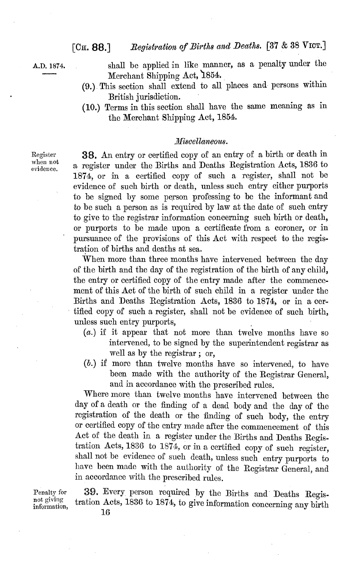A.D. 1874. shall be applied in like manner, as a penalty under the Merchant Shipping Act, 1854.

- (9.)-This section shall extend to all places and persons within British jurisdiction.
- (10.) Terms in this section shall have the same meaning as in the Merchant Shipping Act, 1854.

### Miscellaneous.

Register when not evidence.

38. An entry or certified copy of an entry of a birth or death in a register under the Births and Deaths Registration Acts, 1836 to 1874, or in a certified copy of such a register, shall not be evidence of such birth or death, unless such entry either purports to be signed by some person professing to be the informant and to be such a person as is required by law at the date of such entry to give to the registrar information concerning such birth or death, or purports to be made upon a certificate from a coroner, or in pursuance of the provisions of this Act with respect to the registration of births and deaths at sea.

When more than three months have intervened between the day of the birth and the day of the registration of the birth of any child, the entry or certified copy of the entry made after the commencement of this Act of the birth of such child in a register under the Births and Deaths Registration Acts, 1836 to 1874, or in a certified copy of such a register, shall not be evidence of such birth, unless such entry purports,

- (a.) if it appear that not more than twelve months have so intervened, to be signed by the superintendent registrar as well as by the registrar ; or,
- (b.) it more than twelve months have so intervened, to have been made with the authority of the Registrar General, and in accordance with the prescribed rules.

Where more than twelve months have intervened between the day of a death or the finding of a dead body and the day of the registration of the death or the finding of such body, the entry or certified copy of the entry made after the commencement of this Act of the death in a register under the Births and Deaths Registration Acts, 1836 to 1874, or in a certified copy of such register, shall not be evidence of such death, unless such entry purports to have been made with the authority of the Registrar General, and in accordance with the prescribed rules.

not giving information,

Penalty for 39. Every person required by the Births and Deaths Registration Acts, 1836 to 1874, to give information concerning any birth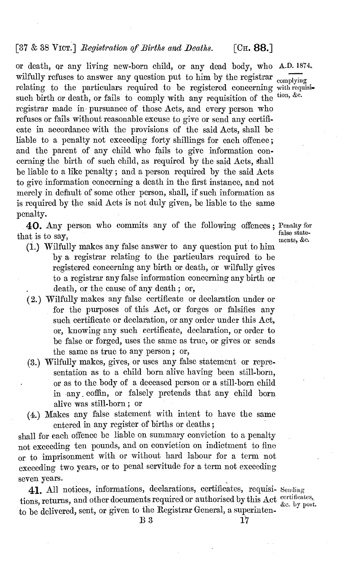### [37  $\&$  38 VICT.] Registration of Births and Deaths. [CH. 88.]

or death, or any living new-born child, or any dead body, who A.D. 1874., wilfully refuses to answer any question put to him by the registrar  $\overline{\text{compling}}$ relating to the particulars required to be registered concerning with requisi-<br>such birth or death or fails to comply with any possibility of the tion, &c. such birth or death, or fails to comply with any requisition of the registrar made in- pursuance of those Acts, and every person who refuses or fails without reasonable excuse to give or send any certificate in accordance with the provisions of the said Acts, shall be liable to a penalty not exceeding forty shillings for each offence ; and the parent of any child who fails to give information concerning the birth of such child, as required by the said Acts, Shall be liable to a like penalty ; and a person required by the said Acts to give information concerning a death in the first instance, and not merely in default of some other person, shall, if such information as is required by the said Acts is not duly given, be liable to the same penalty.

40. Any person who commits any of the following offences; Penalty for false statethat is to say,

- ments, &c. (1.) Wilfully makes any false answer to any question put to him by a registrar relating to the particulars required to be registered concerning any birth or death, or wilfully gives to a registrar any false information concerning any birth or death, or the cause of any death ; or,
- (2.) Wilfully makes any false certificate or declaration under or for the purposes of this Act, or forges or falsifies any such certificate or declaration, or any order under this Act, or, knowing any such certificate, declaration, or order to be false or forged, uses the same as true, or gives or sends the same as true to any person ; or,
- (3.) Wilfully makes, gives, or uses any false statement or representation as to a child born alive having been still-born, or as to the body of a deceased person or a still-born child in -any, coffin, or falsely pretends that any child born alive was still-born ; or
- (4.) Makes any false statement with intent to have the same entered in any register of births or deaths ;

shall for each offence be liable on summary conviction to a penalty not exceeding ten pounds, and on conviction on indictment to fine or to imprisonment with or without hard labour for a term not exceeding two years, or to penal servitude for a term not exceeding seven years.

41. All notices, informations, declarations, certificates, requisi- Sending tions, returns, and other documents required or authorised by this Act certificates, to be delivered, sent, or given to the Registrar General, a superinten-<br> $B_3$   $B_1$ 

&c. by post.

 $\overline{B}$  3 17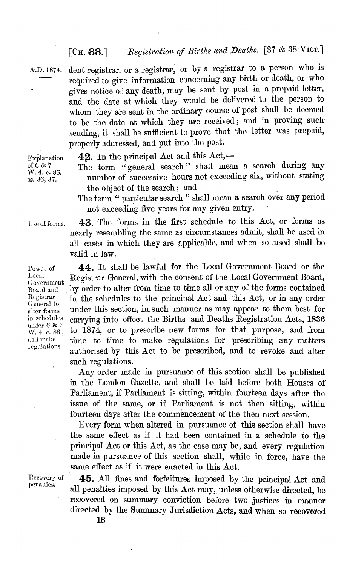[CH. 88.] Registration of Births and Deaths. [37 & 38 VICT.]

A.D. 1874. dent registrar, or a registrar, or by a registrar to a person who is required to give information concerning any birth or death, or who gives notice of any death, may be sent by post in a prepaid letter, and the date at which they would be delivered to the person to whom they are sent in the ordinary course of post shall be deemed to be the date at which they are received ; and in proving suchsending, it shall be sufficient to prove that the letter was prepaid, properly addressed, and put into the post.

Explanation 42. In the principal Act and this  $Act, -$ <br>of 6  $\&$  7 The term "ceneral search" shall mean

of  $6 \& 7$  The term "general search" shall mean a search during any<br>W. 4. c. 86.  $s_1, s_2, s_3, s_4, s_5, s_6, s_7.$  number of successive hours not exceeding six, without stating the object of the search ; and

> The term " particular search " shall mean a search over any period not exceeding five years for any given entry.

Use of forms.  $43.$  The forms in the first schedule to this Act, or forms as nearly resembling the same as circumstances admit, shall be used in all cases in which they are applicable, and when so used shall be valid in law.

Power of 44. It shall be lawful for the Local Government Board or the Local Government Roard Local Registrar General, with the consent of the Local Government Board,<br>Board and by order to alter from time to time all or any of the forms contained Board and by order to alter from time to time all or any of the forms contained<br>Registrar in the schedules to the principal Act and this Act, or in any order in the schedules to the principal Act and this Act, or in any order  $\frac{S}{S}$  alter forms under this section, in such manner as may appear to them best for in schedules carrying into effect the Births and Deaths Registration Acts 1836 carrying into effect the Births and Deaths Registration Acts, 1836 W. 4. c. 86., to 1874, or to prescribe new forms for that purpose, and from and make time to time to make regulations for prescribing any matters and make time to time to make regulations for prescribing any matters authorised by this Act to be prescribed, and to revoke and alter such regulations.

> Any order made in pursuance of this section shall be published in the London Gazette, and shall be laid before both Houses of Parliament, if Parliament is sitting, within fourteen days after the issue of the same, or if Parliament is not then sitting, within fourteen days after the commencement of the then next session.

> Every form when altered in pursuance of this section shall have the same effect as if it had been contained in a schedule to the principal Act or this Act, as the case may be, and every regulation made in pursuance of this section shall, while in force, have the same effect as if it were enacted in this Act.

Recovery of 45. All fines and forfeitures imposed by the principal Act and penalties. all penalties imposed by this Act may, unless otherwise directed, be recovered on summary conviction before two justices in manner directed by the Summary Jurisdiction Acts, and when so recovered

General to<br>alter forms under 6 & 7<br>W. 4. c. 86.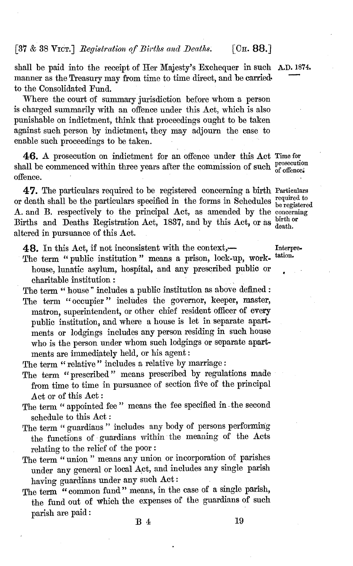$[37 \& 38 \text{ V} \text{ICT.}]$  Registration of Births and Deaths.  $[\text{C}_{H}$ , 88.

shall be paid into the receipt of Her Majesty's Exchequer in such A.D. 1874.<br>manner as the Treasury may from time to time direct, and be carried. to the Consolidated Fund.

Where the court of summary jurisdiction before whom a person is charged summarily with an offence under this Act, which is also punishable on indictment, think that proceedings ought to be taken against such person by indictment, they may adjourn the case to enable such proceedings to be taken.

**46.** A prosecution on indictment for an offence under this Act Time for shall be commenced within three years after the commission of such  $_{\text{of of of} }^{\text{prosection}}$ offence.

47. The particulars required to be registered concerning a birth Particulars or death shall be the particulars specified in the forms in Schedules required to A. and B. respectively to the principal Act, as amended by the concerning Births and Deaths Registration Act, 1837, and by this Act, or as  $\frac{\text{birth or}}{\text{death}}$  $\frac{1}{2}$  and  $\frac{1}{2}$  beachs in generation  $\frac{1}{2}$  and  $\frac{1}{2}$  and  $\frac{1}{2}$   $\frac{1}{2}$  and  $\frac{1}{2}$  as  $\frac{1}{2}$  death, altered in pursuance of this Act.

48. In this Act, if not inconsistent with the context,— Interpre-

The term " public institution" means a prison, lock-up, work- tation. house, lunatic asylum, hospital, and any prescribed public or charitable institution :

The term " house" includes a public institution as above defined :

- The term "occupier" includes the governor, keeper, master, matron, superintendent, or other chief resident officer of every public institution, and where a house is let in separate apartments or lodgings includes any person residing in such house who is the person under whom such lodgings or separate apartments are immediately held, or his agent :
- The term " relative" includes a relative by marriage :
- The term "prescribed" means prescribed by regulations made from time to time in pursuance of section five of the principal Act or of this Act :
- The term " appointed fee " means the fee specified in the second schedule to this Act :
- The term " guardians" includes any body of persons performing the functions of guardians within the meaning of the Acts relating to the relief of the poor :
- The term " union " means any union or incorporation of parishes under any general or local Act, and includes any single parish having guardians under any such Act :
- The term " common fund" means, in the case of a single parish, the fund out of which the expenses of the guardians of such parish are paid :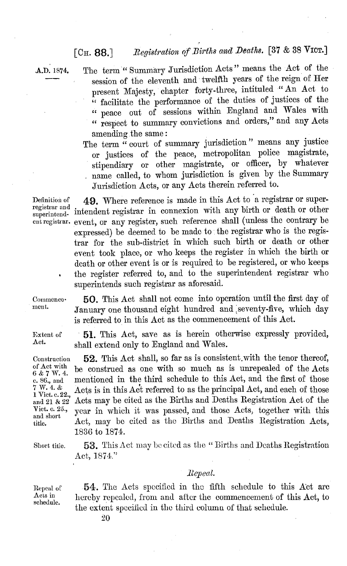# [CH. 88.] Registration of Births and Deaths. [37 & 38 VICT.]

A.D. 1874. The term"' Summary Jurisdiction Acts " means the Act of the session of the eleventh and, twelfth years of the reign of Her present Majesty, chapter forty-three, intituled "An Act to facilitate the performance of the duties of justices of the peace out of sessions within England and Wales with respect to summary convictions and orders," and any Acts amending the same :

The term " court of summary jurisdiction" means any justice or justices of the peace, metropolitan police magistrate, stipendiary or other magistrate, or officer, by whatever name called, to whom jurisdiction is given by the Summary Jurisdiction Acts, or any Acts therein referred to.

Definition of registrar and

4J. Where reference is made in this Act to a registrar or supersuperintend- intendent registrar in connexion with any birth or death or other ent registrar. event, or any register, such reference shall (unless the contrary be expressed) be deemed to be made to the registrar who is the registrar for the sub-district in which such birth or death or other event took place, or who keeps the register in which the birth or death or other event is or is required to be registered, or who keeps the register referred to, and to the superintendent registrar who superintends such registrar as aforesaid.

Commence- 50. This Act shall not come into operation until the first day of<br>ment. January one thousand eight hundred and seventy-five, which day is referred to in this Act as the commencement of this Act.

1 Vict. c. 22., and short<br>title. Vict. c. 25.,

Extent of 51. This Act, save as is herein otherwise expressly provided, Act. shall extend only to England and Wales.

Construction 52. This Act shall, so far as is consistent with the tenor thereof, of Act with the construed as one with so much as is unrepealed of the Acts c. 86., and mentioned in the third schedule to this Act, and the be construed as one with so much as is unrepealed of the Acts c. 86., and mentioned in the third schedule to this Act, and the first of those  $7 \text{ W. } 4 \text{ s}$  Acts is in this Act referred to as the principal Act, and each of those  $7 \text{ W. } 4. \&$  Acts is in this Act referred to as the principal Act, and each of those and 21 & 22. Acts may be cited as the Births and Deaths Registration Act of the Acts may be cited as the Births and Deaths Registration Act of the and short fittle. Act, may be cited as the Births and Deaths Registration Acts, year in which it was passed, and those Acts, together with this 1836 to 1874.

Short title, 53. This Act may be cited as the " Births and Deaths Registration Act, 1874,"

### Repeat.

Repeal of Acts in schedule.

54. The Acts specified in the fifth schedule to this Act are hereby repealed, from and after the commencement of this Act, to the extent specified in the third columa of that schedule.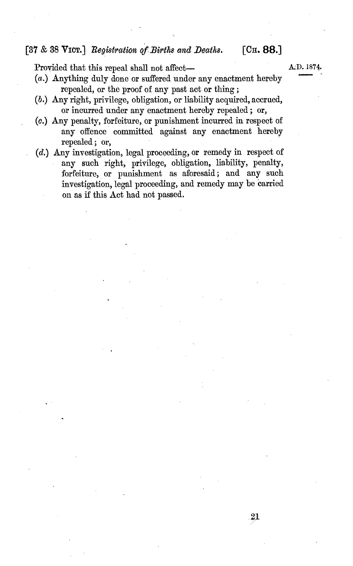# $[37 \& 38 \text{ V}$ ICT.] Registration of Births and Deaths.  $[CH. 88.]$

21

Provided that this repeal shall not affect—  $A.D. 1874$ .

- (a.) Anything duly done or suffered under any enactment hereby repealed, or the proof of any past act or thing ;
- (b.) Any right, privilege, obligation, or liability acquired, accrued, or incurred under any enactment hereby repealed ; or,
- (e.) Any penalty, forfeiture, or punishment incurred in respect of any offence committed against any enactment hereby repealed ; or,
- (d.) Any investigation, legal proceeding, or remedy in respect of any such right, privilege, obligation, liability, penalty, forfeiture, or punishment as aforesaid; and any such investigation, legal proceeding, and remedy may be carried on as if this Act had, not passed.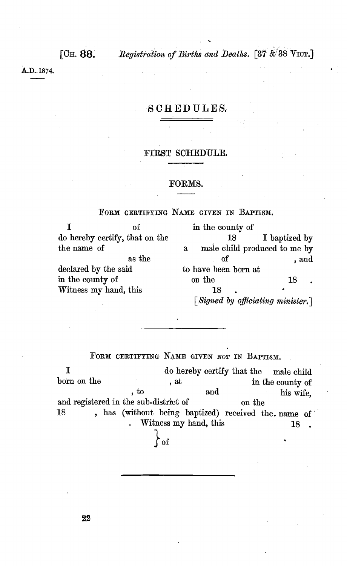[CH. 88. Registration of Births and Deaths. [37  $\&$  38 VICT.]

A.D. 1874.

### SCHEDULES:

### FIRST SCHEDULE.

### FORMS.

FORM CERTIFYING NAME GIVEN IN BAPTISM.

I of do hereby certify, that on the the name of as the declared by the said in the county of Witness my hand, this in the county of 18 I baptized by a male child produced to me by of , and to have been born at on the 18 18 [Signed by officiating minister.]

FORM CERTIFYING NAME GIVEN NOT IN BAPTISM.

I do hereby certify that the male child born on the second the second of  $\mathbf{a}$ , at in the county of , to and his wife, and registered in the sub-district of on the 18 , has (without being baptized) received the. name of Witness my hand, this 18. lof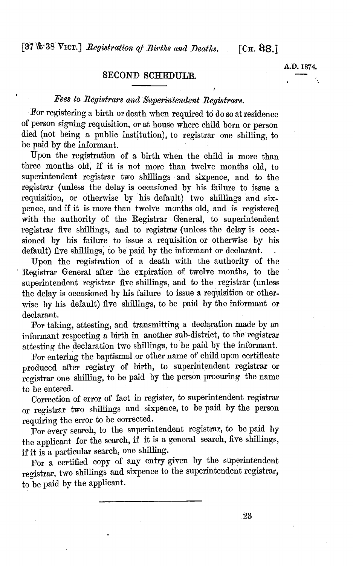$[37 \& 38 \text{ V}$ ICT.] Registration of Births and Deaths.  $[CH. 88.]$ 

### SECOND SCHEDULE.

### Fees to Registrars and Superintendent Registrars.

For registering a birth or death when required to do so at residence of person signing requisition, or at house where child born or person died (not being a public institution), to registrar one shilling, to be paid by the informant.

Upon the registration of a birth when the child is more than three months old, if it is not more than twelve months old, to superintendent registrar two shillings and sixpence, and to the registrar (unless the delay is occasioned by his failure to issue a requisition, or otherwise by his default) two shillings and sixpence, and if it is more than twelve months old, and is registered with the authority of the Registrar General, to superintendent registrar five shillings, and to registrar (unless the delay is occasioned by his failure to issue a requisition or otherwise by his default) five shillings, to be paid by the informant or declarant.

Upon the registration of a death with the authority of the Registrar General after the expiration of twelve months, to the superintendent registrar five shillings, and to the registrar (unless the delay is occasioned by his failure to issue a requisition or otherwise by his default) five shillings, to be paid by the informant or declarant.

For taking, attesting, and transmitting a declaration made by an informant respecting a birth in another sub-district, to the registrar attesting the declaration two shillings, to be paid by the informant.

For entering the baptismal or other name of child upon certificate produced after registry of birth, to superintendent registrar or registrar one shilling, to be paid by the person procuring the name to be entered.

Correction of error of fact in register, to superintendent registrar or registrar two shillings and sixpence, to be paid by the person requiring the error to be corrected.

For every search, to the superintendent registrar, to be paid by the applicant for the search, if it is a general search, five shillings, if it is a particular search, one shilling.

For a certified copy of any entry given by the superintendent registrar, two shillings and sixpence to the superintendent registrar, to be paid by the applicant.

A.D. 1874.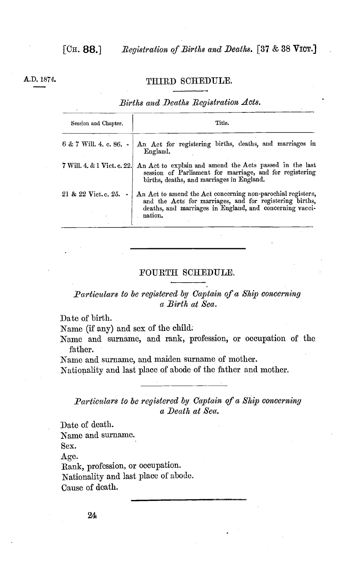# A.D. 1874. THIRD SCHEDULE.

| Title.                                                                                                                                                                                           |  |
|--------------------------------------------------------------------------------------------------------------------------------------------------------------------------------------------------|--|
| An Act for registering births, deaths, and marriages in<br>England.                                                                                                                              |  |
| An Act to explain and amend the Acts passed in the last<br>$7$ Will. 4. & 1 Vict. c. 22.<br>session of Parliament for marriage, and for registering<br>births, deaths, and marriages in England. |  |
| An Act to amend the Act concerning non-parochial registers,<br>and the Acts for marriages, and for registering births,<br>deaths, and marriages in England, and concerning vacci-<br>nation.     |  |
| 6 & 7 Will. 4. c. 86. -                                                                                                                                                                          |  |

### Births and Deaths Registration Acts.

### FOURTH SCHEDULE.

Particulars to be registered by Captain of a Ship concerning a Birth at Sea.

Date of birth.

Name (if any) and sex of the child:

Name and surname, and rank, profession, or occupation of the father.

Name and surname, and maiden surname of mother.

Nationality and last place of abode of the father and mother.

Particulars to be registered by Captain of a Ship concerning a Death at Sea.

Date of death.

Name and surname.

Sex.

Age.

Rank, profession, or occupation.

Nationality and last place of abode.

Cause of death.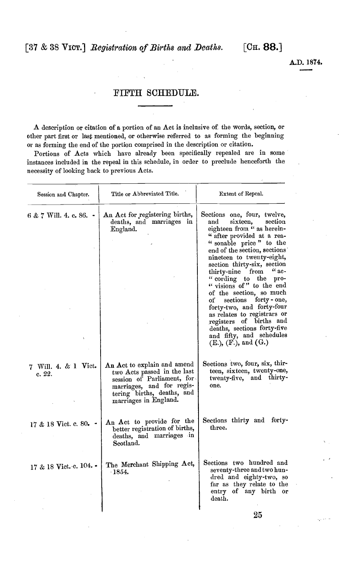والمنابرة

# FIFTH SCHEDULE.

A description or citation of a portion of an Act is inclusive of the words, section, or other part first or last mentioned, or otherwise referred to as forming the beginning or as forming the end of the portion comprised in the description or citation.

Portions of Acts which have already been specifically repealed are in some instances included in the repeal in this schedule, in order to preclude henceforth the necessity of looking back to previous Acts.

| Session and Chapter.           | Title or Abbreviated Title.                                                                                                                                                  | Extent of Repeal.                                                                                                                                                                                                                                                                                                                                                                                                                                                                                                                                                               |
|--------------------------------|------------------------------------------------------------------------------------------------------------------------------------------------------------------------------|---------------------------------------------------------------------------------------------------------------------------------------------------------------------------------------------------------------------------------------------------------------------------------------------------------------------------------------------------------------------------------------------------------------------------------------------------------------------------------------------------------------------------------------------------------------------------------|
| 6 & 7 Will. 4. c. 86. -        | An Act for registering births,<br>deaths, and marriages in<br>England.                                                                                                       | Sections one, four, twelve,<br>sixteen,<br>section<br>and<br>eighteen from " as herein-<br>" after provided at a rea-<br>" sonable price" to the<br>end of the section, sections<br>nineteen to twenty-eight,<br>section thirty-six, section<br>$\alpha$ ac-<br>thirty-nine from<br>"cording to the pro-<br>" visions of" to the end<br>of the section, so much<br>sections forty - one,<br>of t<br>forty-two, and forty-four<br>as relates to registrars or<br>registers of births and<br>deaths, sections forty-five<br>and fifty, and schedules<br>(E.), $(F.)$ , and $(G.)$ |
| 7 Will. 4. & 1 Vict.<br>c. 22. | An Act to explain and amend<br>two Acts passed in the last<br>session of Parliament, for<br>marriages, and for regis-<br>tering births, deaths, and<br>marriages in England. | Sections two, four, six, thir-<br>teen, sixteen, twenty-one,<br>twenty-five, and thirty-<br>one.                                                                                                                                                                                                                                                                                                                                                                                                                                                                                |
| 17 & 18 Vict. c. 80. -         | An Act to provide for the<br>better registration of births,<br>deaths, and marriages in<br>Scotland.                                                                         | Sections thirty and forty-<br>three.                                                                                                                                                                                                                                                                                                                                                                                                                                                                                                                                            |
| 17 & 18 Vict. c. 104. -        | The Merchant Shipping Act,<br>$-1854.$                                                                                                                                       | Sections two hundred and<br>seventy-three and two hun-<br>dred and eighty-two, so<br>far as they relate to the<br>entry of any birth or<br>death.                                                                                                                                                                                                                                                                                                                                                                                                                               |
|                                |                                                                                                                                                                              | 25                                                                                                                                                                                                                                                                                                                                                                                                                                                                                                                                                                              |